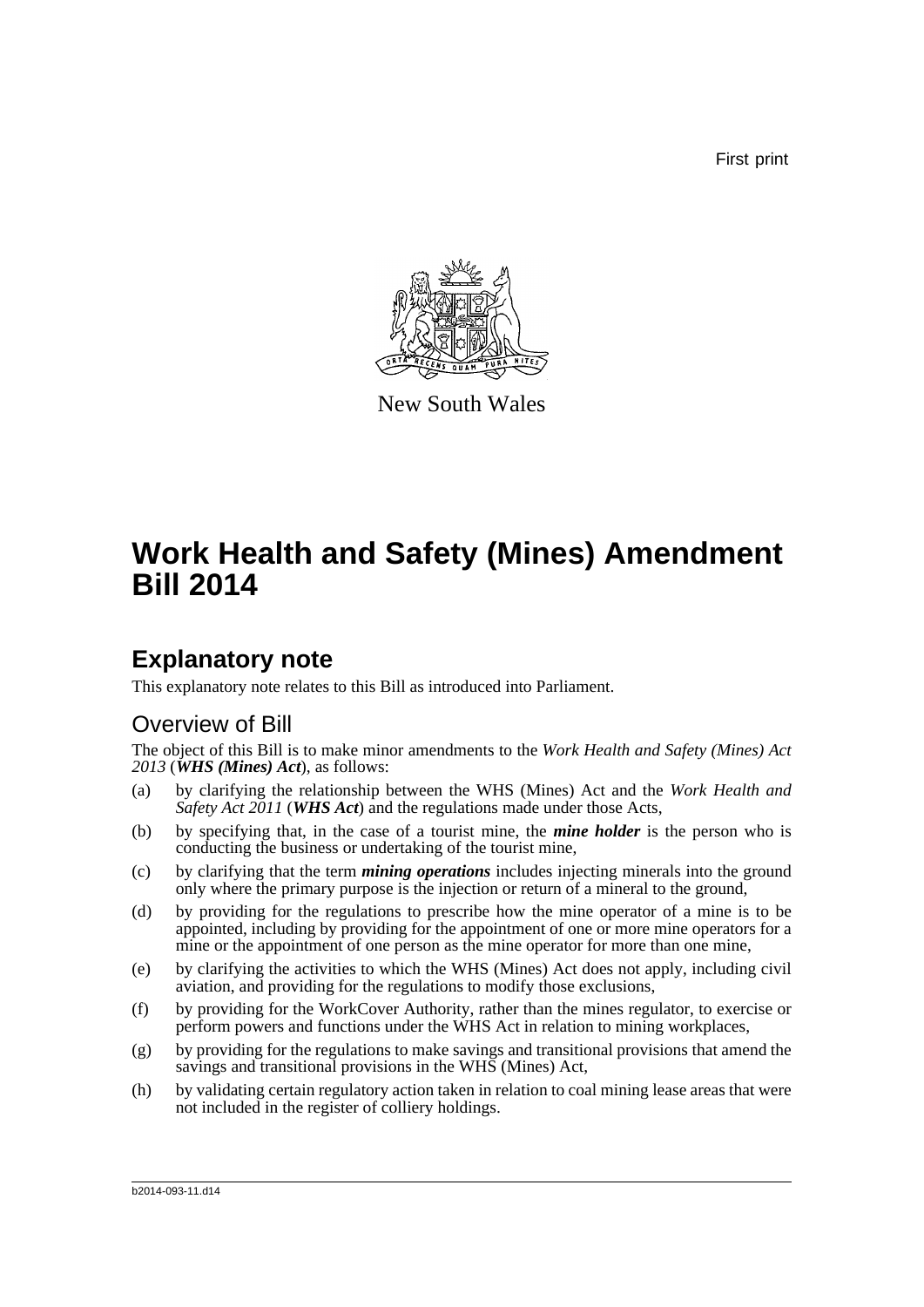First print



New South Wales

# **Work Health and Safety (Mines) Amendment Bill 2014**

## **Explanatory note**

This explanatory note relates to this Bill as introduced into Parliament.

### Overview of Bill

The object of this Bill is to make minor amendments to the *Work Health and Safety (Mines) Act 2013* (*WHS (Mines) Act*), as follows:

- (a) by clarifying the relationship between the WHS (Mines) Act and the *Work Health and Safety Act 2011* (*WHS Act*) and the regulations made under those Acts,
- (b) by specifying that, in the case of a tourist mine, the *mine holder* is the person who is conducting the business or undertaking of the tourist mine,
- (c) by clarifying that the term *mining operations* includes injecting minerals into the ground only where the primary purpose is the injection or return of a mineral to the ground,
- (d) by providing for the regulations to prescribe how the mine operator of a mine is to be appointed, including by providing for the appointment of one or more mine operators for a mine or the appointment of one person as the mine operator for more than one mine,
- (e) by clarifying the activities to which the WHS (Mines) Act does not apply, including civil aviation, and providing for the regulations to modify those exclusions,
- (f) by providing for the WorkCover Authority, rather than the mines regulator, to exercise or perform powers and functions under the WHS Act in relation to mining workplaces,
- (g) by providing for the regulations to make savings and transitional provisions that amend the savings and transitional provisions in the WHS (Mines) Act,
- (h) by validating certain regulatory action taken in relation to coal mining lease areas that were not included in the register of colliery holdings.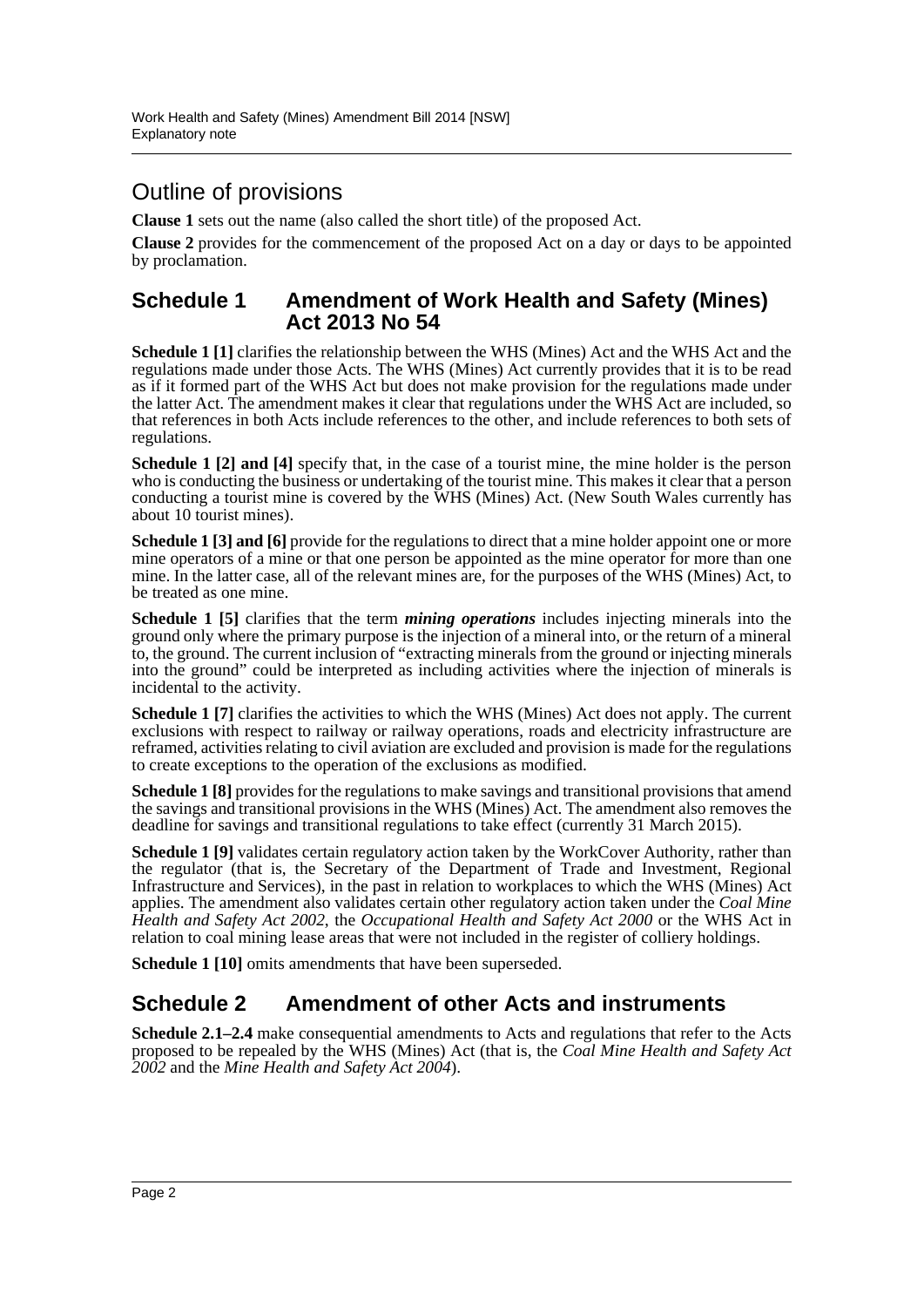## Outline of provisions

**Clause 1** sets out the name (also called the short title) of the proposed Act.

**Clause 2** provides for the commencement of the proposed Act on a day or days to be appointed by proclamation.

#### **Schedule 1 Amendment of Work Health and Safety (Mines) Act 2013 No 54**

**Schedule 1 [1]** clarifies the relationship between the WHS (Mines) Act and the WHS Act and the regulations made under those Acts. The WHS (Mines) Act currently provides that it is to be read as if it formed part of the WHS Act but does not make provision for the regulations made under the latter Act. The amendment makes it clear that regulations under the WHS Act are included, so that references in both Acts include references to the other, and include references to both sets of regulations.

**Schedule 1 [2] and [4]** specify that, in the case of a tourist mine, the mine holder is the person who is conducting the business or undertaking of the tourist mine. This makes it clear that a person conducting a tourist mine is covered by the WHS (Mines) Act. (New South Wales currently has about 10 tourist mines).

**Schedule 1** [3] and [6] provide for the regulations to direct that a mine holder appoint one or more mine operators of a mine or that one person be appointed as the mine operator for more than one mine. In the latter case, all of the relevant mines are, for the purposes of the WHS (Mines) Act, to be treated as one mine.

**Schedule 1 [5]** clarifies that the term *mining operations* includes injecting minerals into the ground only where the primary purpose is the injection of a mineral into, or the return of a mineral to, the ground. The current inclusion of "extracting minerals from the ground or injecting minerals into the ground" could be interpreted as including activities where the injection of minerals is incidental to the activity.

**Schedule 1 [7]** clarifies the activities to which the WHS (Mines) Act does not apply. The current exclusions with respect to railway or railway operations, roads and electricity infrastructure are reframed, activities relating to civil aviation are excluded and provision is made for the regulations to create exceptions to the operation of the exclusions as modified.

**Schedule 1 [8]** provides for the regulations to make savings and transitional provisions that amend the savings and transitional provisions in the WHS (Mines) Act. The amendment also removes the deadline for savings and transitional regulations to take effect (currently 31 March 2015).

**Schedule 1 [9]** validates certain regulatory action taken by the WorkCover Authority, rather than the regulator (that is, the Secretary of the Department of Trade and Investment, Regional Infrastructure and Services), in the past in relation to workplaces to which the WHS (Mines) Act applies. The amendment also validates certain other regulatory action taken under the *Coal Mine Health and Safety Act 2002*, the *Occupational Health and Safety Act 2000* or the WHS Act in relation to coal mining lease areas that were not included in the register of colliery holdings.

**Schedule 1 [10]** omits amendments that have been superseded.

### **Schedule 2 Amendment of other Acts and instruments**

**Schedule 2.1–2.4** make consequential amendments to Acts and regulations that refer to the Acts proposed to be repealed by the WHS (Mines) Act (that is, the *Coal Mine Health and Safety Act 2002* and the *Mine Health and Safety Act 2004*).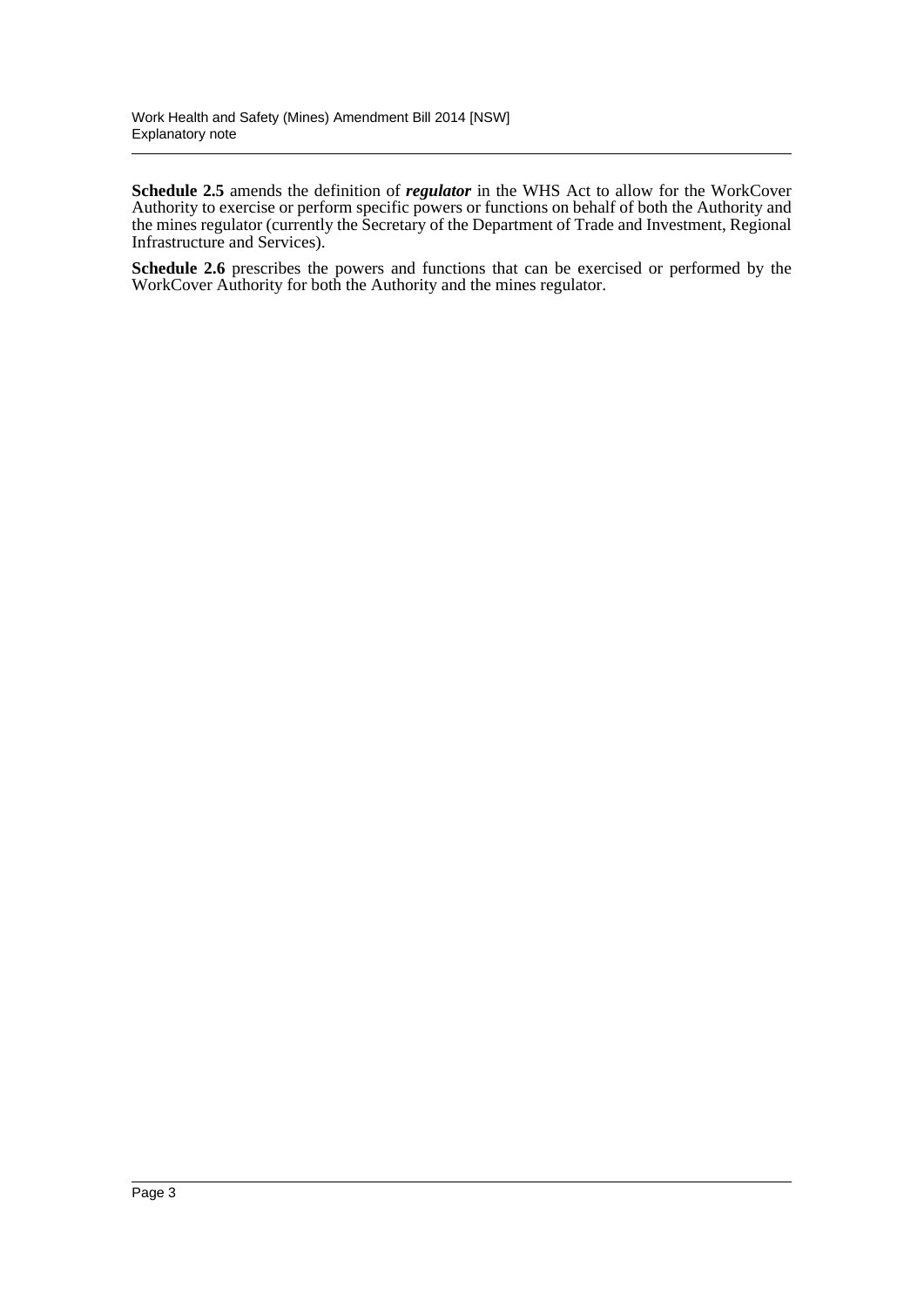**Schedule 2.5** amends the definition of *regulator* in the WHS Act to allow for the WorkCover Authority to exercise or perform specific powers or functions on behalf of both the Authority and the mines regulator (currently the Secretary of the Department of Trade and Investment, Regional Infrastructure and Services).

**Schedule 2.6** prescribes the powers and functions that can be exercised or performed by the WorkCover Authority for both the Authority and the mines regulator.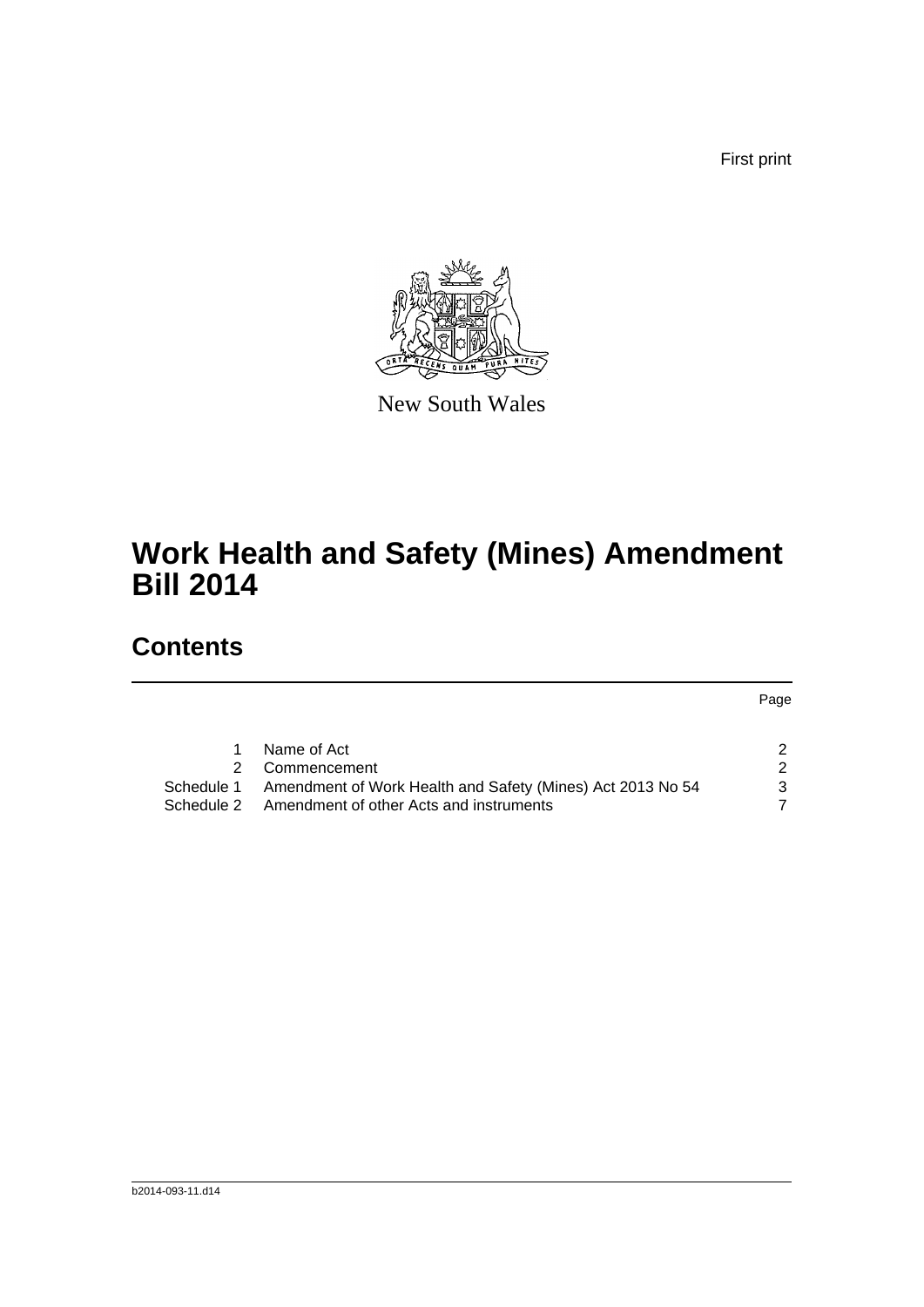First print



New South Wales

# **Work Health and Safety (Mines) Amendment Bill 2014**

## **Contents**

Page

|            | Name of Act                                                |   |
|------------|------------------------------------------------------------|---|
|            | 2 Commencement                                             |   |
| Schedule 1 | Amendment of Work Health and Safety (Mines) Act 2013 No 54 | 3 |
| Schedule 2 | Amendment of other Acts and instruments                    |   |
|            |                                                            |   |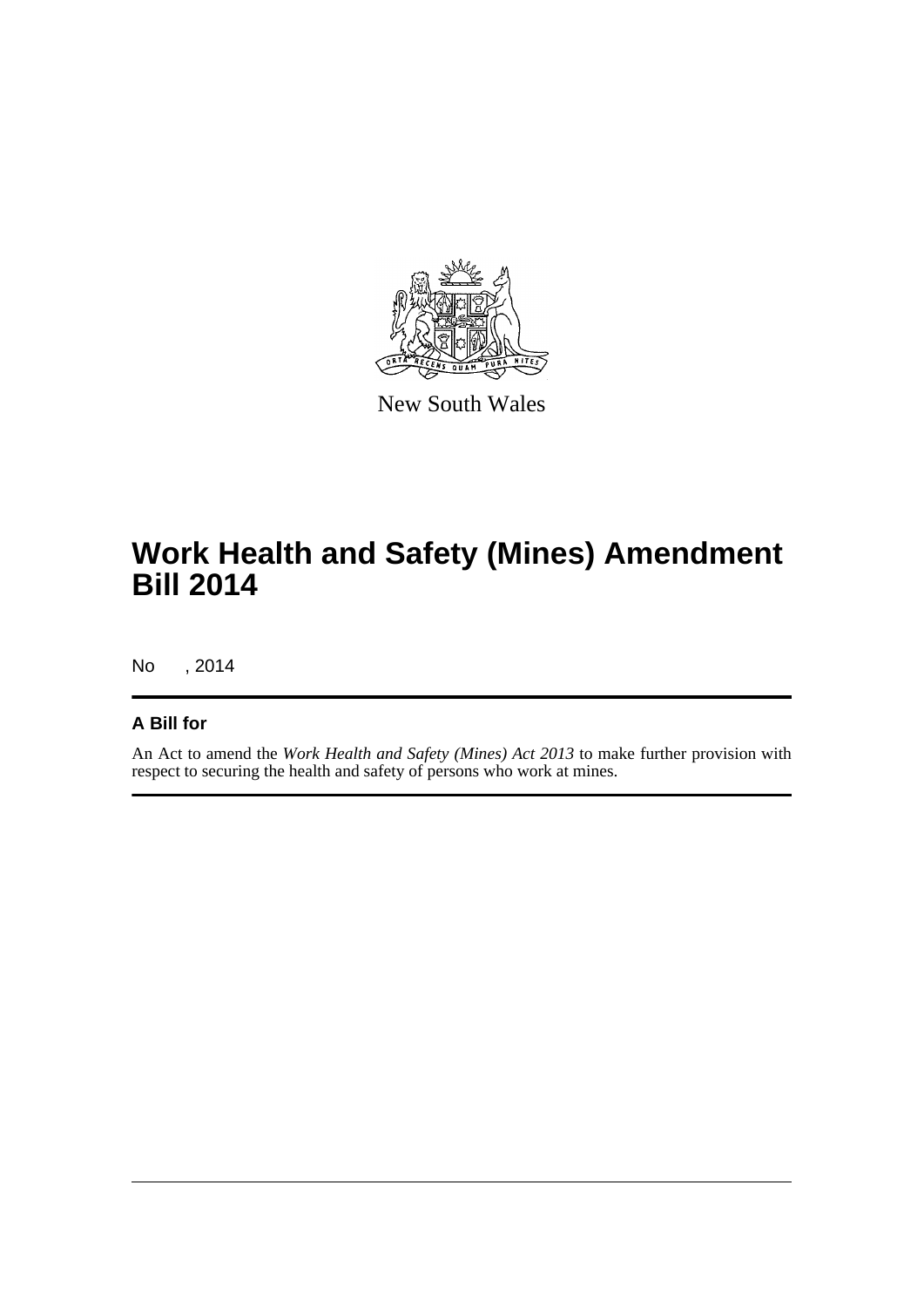

New South Wales

# **Work Health and Safety (Mines) Amendment Bill 2014**

No , 2014

### **A Bill for**

An Act to amend the *Work Health and Safety (Mines) Act 2013* to make further provision with respect to securing the health and safety of persons who work at mines.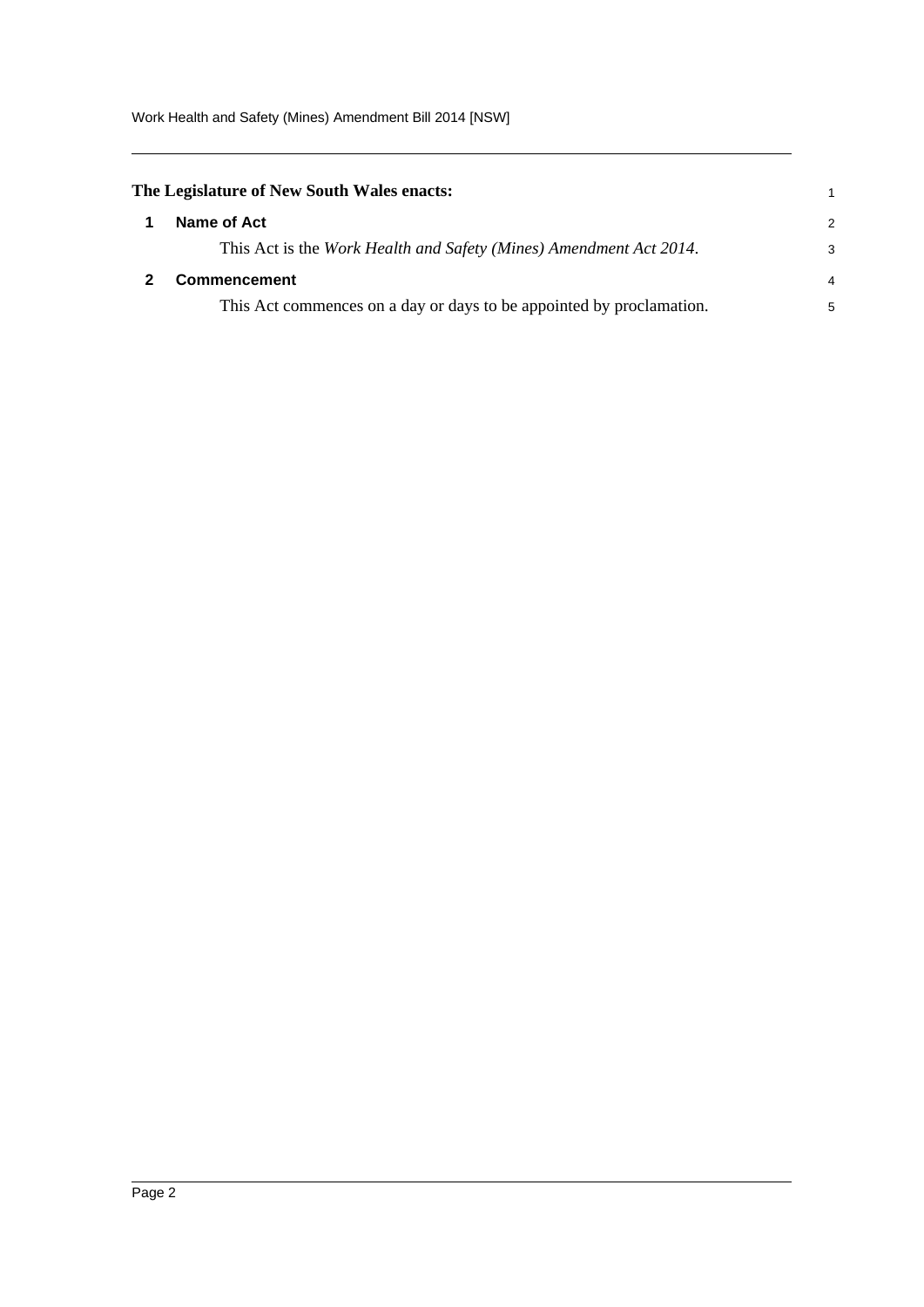Work Health and Safety (Mines) Amendment Bill 2014 [NSW]

<span id="page-5-1"></span><span id="page-5-0"></span>

| The Legislature of New South Wales enacts: |                                                                      |               |
|--------------------------------------------|----------------------------------------------------------------------|---------------|
|                                            | Name of Act                                                          | $\mathcal{P}$ |
|                                            | This Act is the Work Health and Safety (Mines) Amendment Act 2014.   | 3             |
|                                            | <b>Commencement</b>                                                  | 4             |
|                                            | This Act commences on a day or days to be appointed by proclamation. | 5             |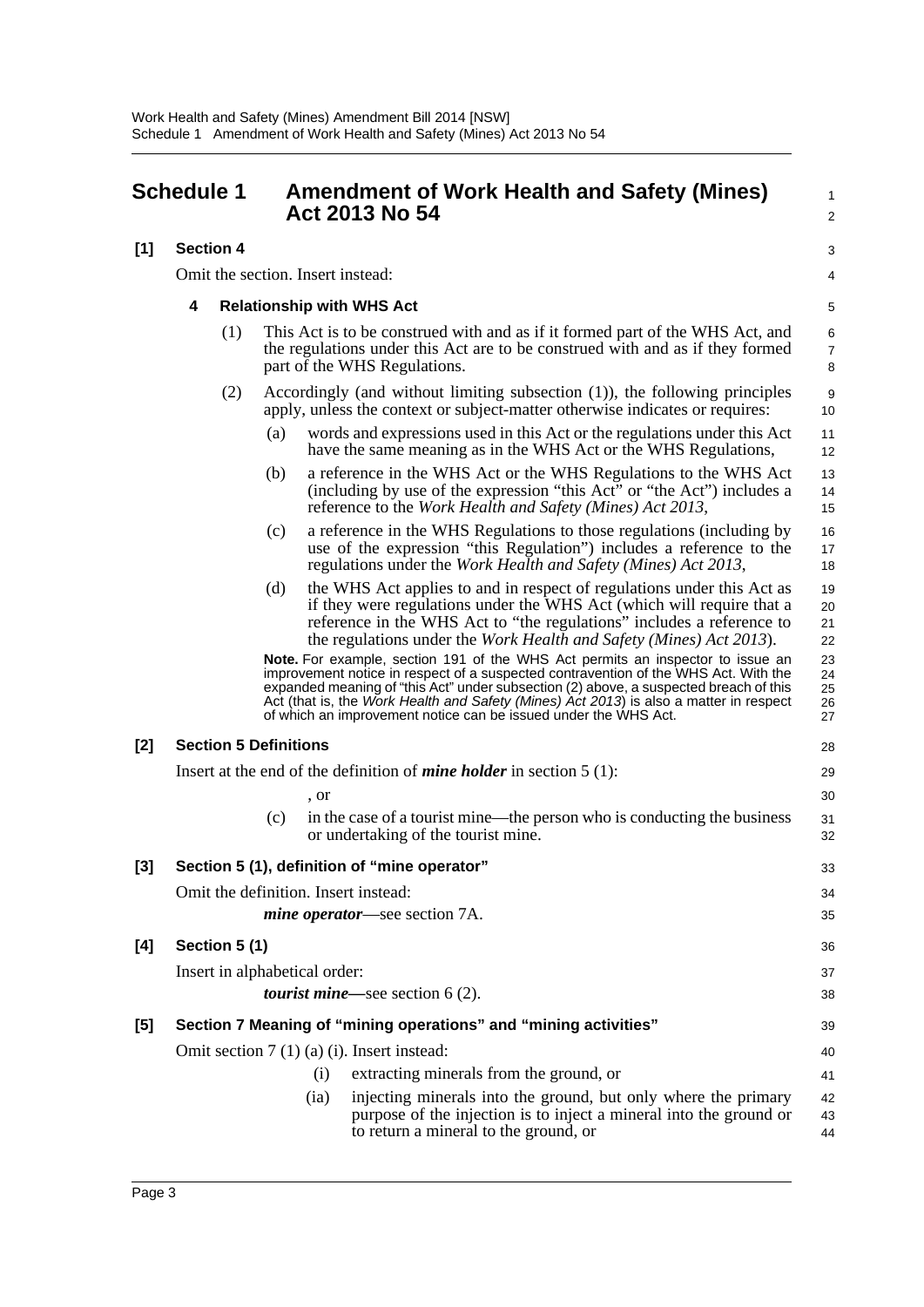<span id="page-6-0"></span>

| <b>Schedule 1</b> |                  |              | <b>Amendment of Work Health and Safety (Mines)</b><br>Act 2013 No 54 | $\mathbf{1}$<br>2                                                                                                                                                                                                                                                                                                                                                                                                           |                              |
|-------------------|------------------|--------------|----------------------------------------------------------------------|-----------------------------------------------------------------------------------------------------------------------------------------------------------------------------------------------------------------------------------------------------------------------------------------------------------------------------------------------------------------------------------------------------------------------------|------------------------------|
| [1]               | <b>Section 4</b> |              |                                                                      |                                                                                                                                                                                                                                                                                                                                                                                                                             | 3                            |
|                   |                  |              | Omit the section. Insert instead:                                    |                                                                                                                                                                                                                                                                                                                                                                                                                             | 4                            |
|                   | 4                |              |                                                                      | <b>Relationship with WHS Act</b>                                                                                                                                                                                                                                                                                                                                                                                            | 5                            |
|                   |                  | (1)          |                                                                      | This Act is to be construed with and as if it formed part of the WHS Act, and<br>the regulations under this Act are to be construed with and as if they formed<br>part of the WHS Regulations.                                                                                                                                                                                                                              | $\,6$<br>$\overline{7}$<br>8 |
|                   |                  | (2)          |                                                                      | Accordingly (and without limiting subsection (1)), the following principles<br>apply, unless the context or subject-matter otherwise indicates or requires:                                                                                                                                                                                                                                                                 | 9<br>10                      |
|                   |                  |              | (a)                                                                  | words and expressions used in this Act or the regulations under this Act<br>have the same meaning as in the WHS Act or the WHS Regulations,                                                                                                                                                                                                                                                                                 | 11<br>12                     |
|                   |                  |              | (b)                                                                  | a reference in the WHS Act or the WHS Regulations to the WHS Act<br>(including by use of the expression "this Act" or "the Act") includes a<br>reference to the Work Health and Safety (Mines) Act 2013,                                                                                                                                                                                                                    | 13<br>14<br>15               |
|                   |                  |              | (c)                                                                  | a reference in the WHS Regulations to those regulations (including by<br>use of the expression "this Regulation") includes a reference to the<br>regulations under the Work Health and Safety (Mines) Act 2013,                                                                                                                                                                                                             | 16<br>17<br>18               |
|                   |                  |              | (d)                                                                  | the WHS Act applies to and in respect of regulations under this Act as<br>if they were regulations under the WHS Act (which will require that a<br>reference in the WHS Act to "the regulations" includes a reference to<br>the regulations under the <i>Work Health and Safety (Mines) Act 2013</i> ).                                                                                                                     | 19<br>20<br>21<br>22         |
|                   |                  |              |                                                                      | Note. For example, section 191 of the WHS Act permits an inspector to issue an<br>improvement notice in respect of a suspected contravention of the WHS Act. With the<br>expanded meaning of "this Act" under subsection (2) above, a suspected breach of this<br>Act (that is, the Work Health and Safety (Mines) Act 2013) is also a matter in respect<br>of which an improvement notice can be issued under the WHS Act. | 23<br>24<br>25<br>26<br>27   |
| $[2]$             |                  |              | <b>Section 5 Definitions</b>                                         |                                                                                                                                                                                                                                                                                                                                                                                                                             | 28                           |
|                   |                  |              |                                                                      | Insert at the end of the definition of <i>mine holder</i> in section $5(1)$ :                                                                                                                                                                                                                                                                                                                                               | 29                           |
|                   |                  |              | , or                                                                 |                                                                                                                                                                                                                                                                                                                                                                                                                             | 30                           |
|                   |                  |              | (c)                                                                  | in the case of a tourist mine—the person who is conducting the business<br>or undertaking of the tourist mine.                                                                                                                                                                                                                                                                                                              | 31<br>32                     |
| $[3]$             |                  |              |                                                                      | Section 5 (1), definition of "mine operator"                                                                                                                                                                                                                                                                                                                                                                                | 33                           |
|                   |                  |              |                                                                      | Omit the definition. Insert instead:                                                                                                                                                                                                                                                                                                                                                                                        | 34                           |
|                   |                  |              |                                                                      | <i>mine operator—see section 7A.</i>                                                                                                                                                                                                                                                                                                                                                                                        | 35                           |
| [4]               |                  | Section 5(1) |                                                                      |                                                                                                                                                                                                                                                                                                                                                                                                                             | 36                           |
|                   |                  |              | Insert in alphabetical order:                                        |                                                                                                                                                                                                                                                                                                                                                                                                                             | 37                           |
|                   |                  |              |                                                                      | <i>tourist mine</i> —see section $6(2)$ .                                                                                                                                                                                                                                                                                                                                                                                   | 38                           |
| [5]               |                  |              |                                                                      | Section 7 Meaning of "mining operations" and "mining activities"                                                                                                                                                                                                                                                                                                                                                            | 39                           |
|                   |                  |              |                                                                      | Omit section $7(1)(a)(i)$ . Insert instead:                                                                                                                                                                                                                                                                                                                                                                                 | 40                           |
|                   |                  |              | (i)                                                                  | extracting minerals from the ground, or                                                                                                                                                                                                                                                                                                                                                                                     | 41                           |
|                   |                  |              | (ia)                                                                 | injecting minerals into the ground, but only where the primary<br>purpose of the injection is to inject a mineral into the ground or<br>to return a mineral to the ground, or                                                                                                                                                                                                                                               | 42<br>43<br>44               |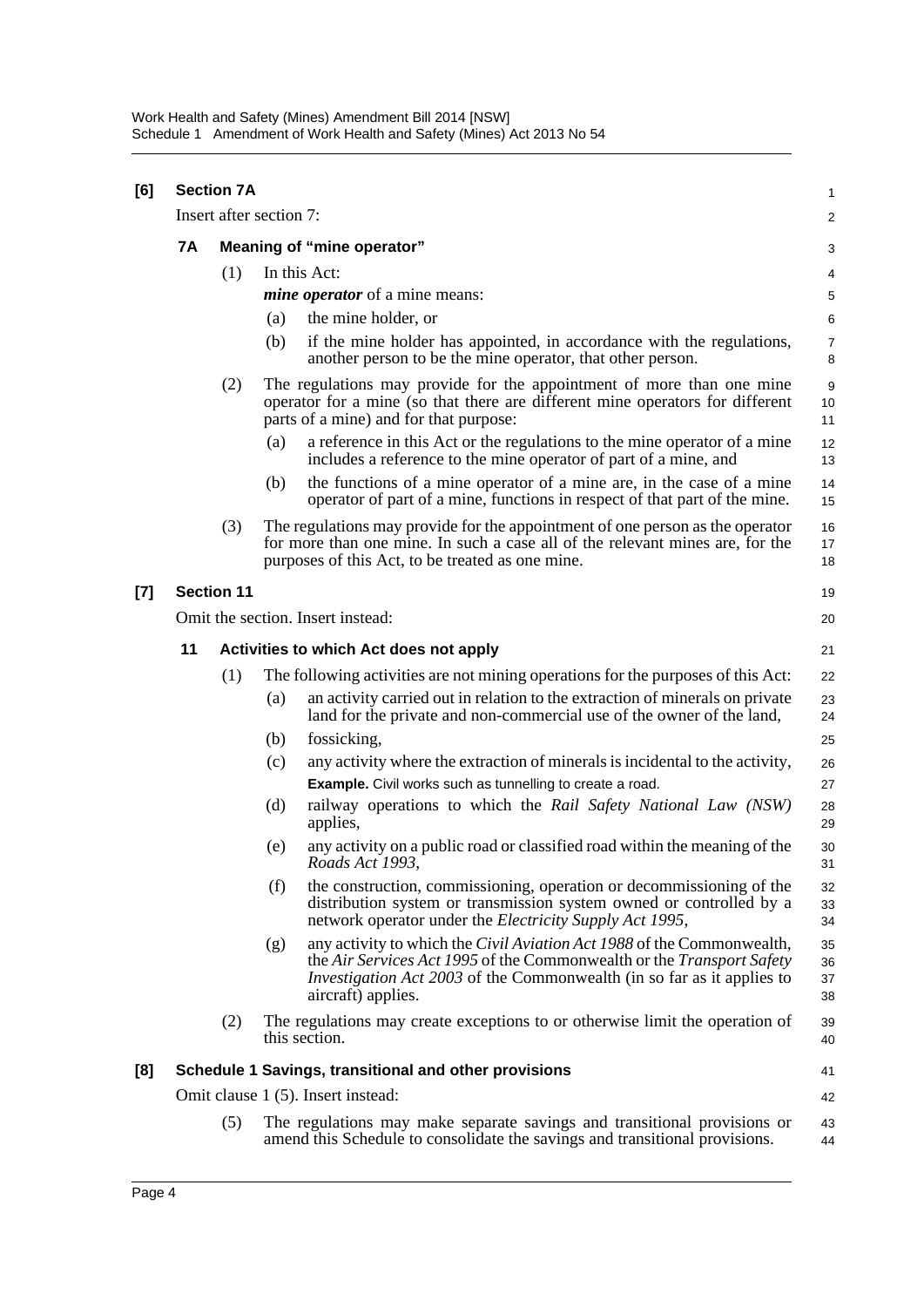| [6] |                                         | <b>Section 7A</b> |                                                                                                                                                                                                                                                                      |  | 1                    |  |
|-----|-----------------------------------------|-------------------|----------------------------------------------------------------------------------------------------------------------------------------------------------------------------------------------------------------------------------------------------------------------|--|----------------------|--|
|     |                                         |                   | Insert after section 7:                                                                                                                                                                                                                                              |  | 2                    |  |
|     | 7A                                      |                   | Meaning of "mine operator"                                                                                                                                                                                                                                           |  |                      |  |
|     |                                         | (1)               | In this Act:                                                                                                                                                                                                                                                         |  | 4                    |  |
|     |                                         |                   | <i>mine operator</i> of a mine means:                                                                                                                                                                                                                                |  | 5                    |  |
|     |                                         |                   | the mine holder, or<br>(a)                                                                                                                                                                                                                                           |  | 6                    |  |
|     |                                         |                   | (b)<br>if the mine holder has appointed, in accordance with the regulations,<br>another person to be the mine operator, that other person.                                                                                                                           |  | $\overline{7}$<br>8  |  |
|     |                                         | (2)               | The regulations may provide for the appointment of more than one mine<br>operator for a mine (so that there are different mine operators for different<br>parts of a mine) and for that purpose:                                                                     |  | 9<br>10<br>11        |  |
|     |                                         |                   | a reference in this Act or the regulations to the mine operator of a mine<br>(a)<br>includes a reference to the mine operator of part of a mine, and                                                                                                                 |  | 12<br>13             |  |
|     |                                         |                   | the functions of a mine operator of a mine are, in the case of a mine<br>(b)<br>operator of part of a mine, functions in respect of that part of the mine.                                                                                                           |  | 14<br>15             |  |
|     |                                         | (3)               | The regulations may provide for the appointment of one person as the operator<br>for more than one mine. In such a case all of the relevant mines are, for the<br>purposes of this Act, to be treated as one mine.                                                   |  | 16<br>17<br>18       |  |
| [7] |                                         | <b>Section 11</b> |                                                                                                                                                                                                                                                                      |  | 19                   |  |
|     | Omit the section. Insert instead:<br>20 |                   |                                                                                                                                                                                                                                                                      |  |                      |  |
|     | 11                                      |                   | <b>Activities to which Act does not apply</b>                                                                                                                                                                                                                        |  | 21                   |  |
|     |                                         | (1)               | The following activities are not mining operations for the purposes of this Act:                                                                                                                                                                                     |  | 22                   |  |
|     |                                         |                   | an activity carried out in relation to the extraction of minerals on private<br>(a)<br>land for the private and non-commercial use of the owner of the land,                                                                                                         |  | 23<br>24             |  |
|     |                                         |                   | fossicking,<br>(b)                                                                                                                                                                                                                                                   |  | 25                   |  |
|     |                                         |                   | (c)<br>any activity where the extraction of minerals is incidental to the activity,                                                                                                                                                                                  |  | 26                   |  |
|     |                                         |                   | <b>Example.</b> Civil works such as tunnelling to create a road.                                                                                                                                                                                                     |  | 27                   |  |
|     |                                         |                   | (d)<br>railway operations to which the Rail Safety National Law (NSW)<br>applies,                                                                                                                                                                                    |  | 28<br>29             |  |
|     |                                         |                   | any activity on a public road or classified road within the meaning of the<br>(e)<br>Roads Act 1993,                                                                                                                                                                 |  | 30<br>31             |  |
|     |                                         |                   | (f)<br>the construction, commissioning, operation or decommissioning of the<br>distribution system or transmission system owned or controlled by a<br>network operator under the <i>Electricity Supply Act 1995</i> ,                                                |  | 32<br>33<br>34       |  |
|     |                                         |                   | any activity to which the <i>Civil Aviation Act 1988</i> of the Commonwealth,<br>(g)<br>the Air Services Act 1995 of the Commonwealth or the Transport Safety<br><i>Investigation Act 2003</i> of the Commonwealth (in so far as it applies to<br>aircraft) applies. |  | 35<br>36<br>37<br>38 |  |
|     |                                         | (2)               | The regulations may create exceptions to or otherwise limit the operation of<br>this section.                                                                                                                                                                        |  | 39<br>40             |  |
| [8] |                                         |                   | Schedule 1 Savings, transitional and other provisions                                                                                                                                                                                                                |  | 41                   |  |
|     |                                         |                   | Omit clause 1 (5). Insert instead:                                                                                                                                                                                                                                   |  | 42                   |  |
|     |                                         | (5)               | The regulations may make separate savings and transitional provisions or<br>amend this Schedule to consolidate the savings and transitional provisions.                                                                                                              |  | 43<br>44             |  |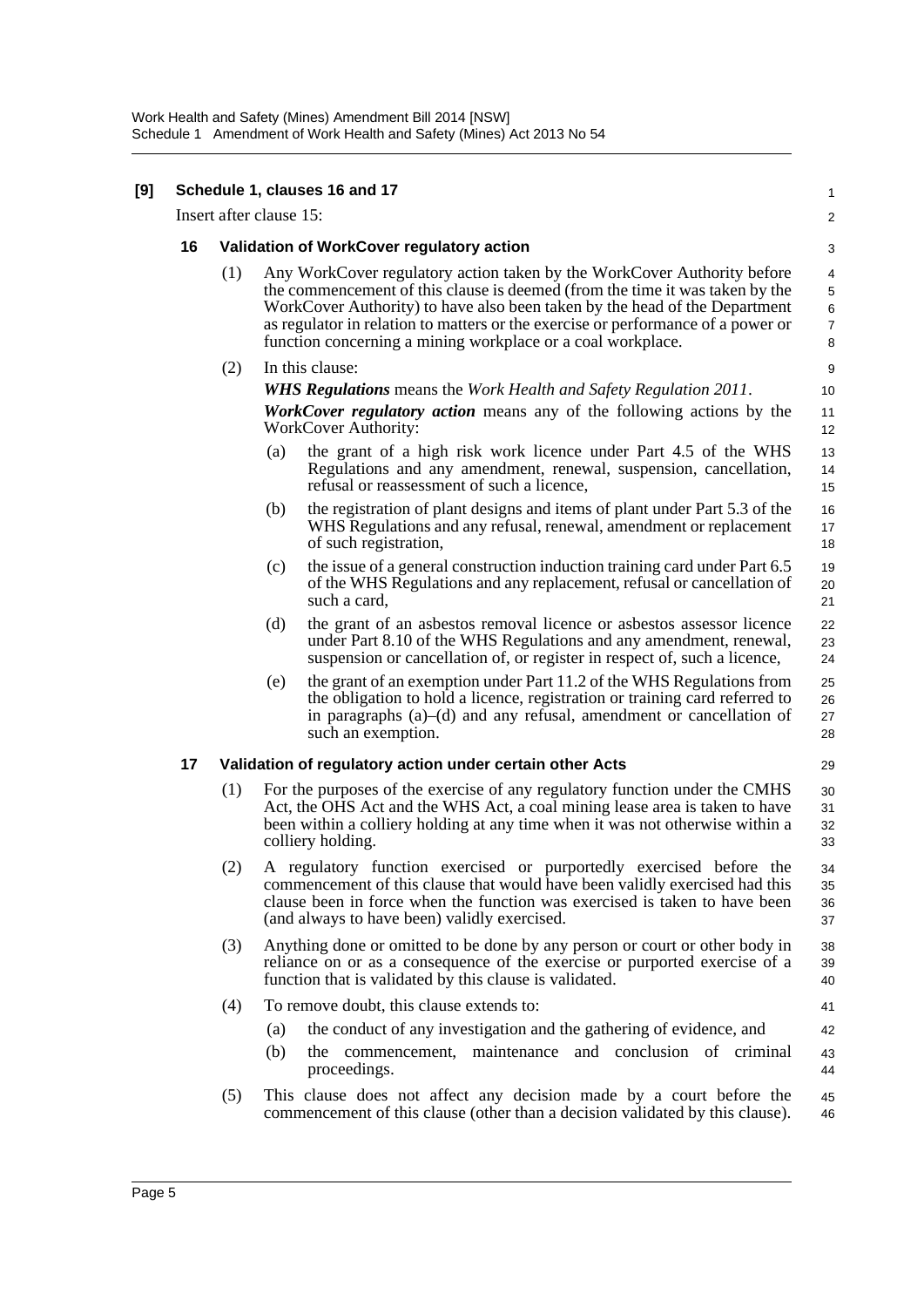| [9] |    |                                           | Schedule 1, clauses 16 and 17                                                                                                                                                                                                                                                                                                                                                            | $\mathbf{1}$                                               |  |
|-----|----|-------------------------------------------|------------------------------------------------------------------------------------------------------------------------------------------------------------------------------------------------------------------------------------------------------------------------------------------------------------------------------------------------------------------------------------------|------------------------------------------------------------|--|
|     |    |                                           | Insert after clause 15:                                                                                                                                                                                                                                                                                                                                                                  | 2                                                          |  |
|     | 16 | Validation of WorkCover regulatory action |                                                                                                                                                                                                                                                                                                                                                                                          |                                                            |  |
|     |    | (1)                                       | Any WorkCover regulatory action taken by the WorkCover Authority before<br>the commencement of this clause is deemed (from the time it was taken by the<br>WorkCover Authority) to have also been taken by the head of the Department<br>as regulator in relation to matters or the exercise or performance of a power or<br>function concerning a mining workplace or a coal workplace. | 4<br>$\,$ 5 $\,$<br>$\,6\,$<br>$\boldsymbol{7}$<br>$\bf 8$ |  |
|     |    | (2)                                       | In this clause:                                                                                                                                                                                                                                                                                                                                                                          | 9                                                          |  |
|     |    |                                           | <b>WHS Regulations</b> means the Work Health and Safety Regulation 2011.                                                                                                                                                                                                                                                                                                                 | 10                                                         |  |
|     |    |                                           | <b>WorkCover regulatory action</b> means any of the following actions by the<br><b>WorkCover Authority:</b>                                                                                                                                                                                                                                                                              | 11<br>12                                                   |  |
|     |    |                                           | the grant of a high risk work licence under Part 4.5 of the WHS<br>(a)<br>Regulations and any amendment, renewal, suspension, cancellation,<br>refusal or reassessment of such a licence,                                                                                                                                                                                                | 13<br>14<br>15                                             |  |
|     |    |                                           | the registration of plant designs and items of plant under Part 5.3 of the<br>(b)<br>WHS Regulations and any refusal, renewal, amendment or replacement<br>of such registration,                                                                                                                                                                                                         | 16<br>17<br>18                                             |  |
|     |    |                                           | the issue of a general construction induction training card under Part 6.5<br>(c)<br>of the WHS Regulations and any replacement, refusal or cancellation of<br>such a card,                                                                                                                                                                                                              | 19<br>20<br>21                                             |  |
|     |    |                                           | (d)<br>the grant of an asbestos removal licence or asbestos assessor licence<br>under Part 8.10 of the WHS Regulations and any amendment, renewal,<br>suspension or cancellation of, or register in respect of, such a licence,                                                                                                                                                          | 22<br>23<br>24                                             |  |
|     |    |                                           | the grant of an exemption under Part 11.2 of the WHS Regulations from<br>(e)<br>the obligation to hold a licence, registration or training card referred to<br>in paragraphs $(a)$ – $(d)$ and any refusal, amendment or cancellation of<br>such an exemption.                                                                                                                           | 25<br>26<br>27<br>28                                       |  |
|     | 17 |                                           | Validation of regulatory action under certain other Acts                                                                                                                                                                                                                                                                                                                                 | 29                                                         |  |
|     |    | (1)                                       | For the purposes of the exercise of any regulatory function under the CMHS<br>Act, the OHS Act and the WHS Act, a coal mining lease area is taken to have<br>been within a colliery holding at any time when it was not otherwise within a<br>colliery holding.                                                                                                                          | 30<br>31<br>32<br>33                                       |  |
|     |    | (2)                                       | A regulatory function exercised or purportedly exercised before the<br>commencement of this clause that would have been validly exercised had this<br>clause been in force when the function was exercised is taken to have been<br>(and always to have been) validly exercised.                                                                                                         | 34<br>35<br>36<br>37                                       |  |
|     |    | (3)                                       | Anything done or omitted to be done by any person or court or other body in<br>reliance on or as a consequence of the exercise or purported exercise of a<br>function that is validated by this clause is validated.                                                                                                                                                                     | 38<br>39<br>40                                             |  |
|     |    | (4)                                       | To remove doubt, this clause extends to:                                                                                                                                                                                                                                                                                                                                                 | 41                                                         |  |
|     |    |                                           | the conduct of any investigation and the gathering of evidence, and<br>(a)                                                                                                                                                                                                                                                                                                               | 42                                                         |  |
|     |    |                                           | maintenance and conclusion of criminal<br>(b)<br>the commencement,<br>proceedings.                                                                                                                                                                                                                                                                                                       | 43<br>44                                                   |  |
|     |    | (5)                                       | This clause does not affect any decision made by a court before the<br>commencement of this clause (other than a decision validated by this clause).                                                                                                                                                                                                                                     | 45<br>46                                                   |  |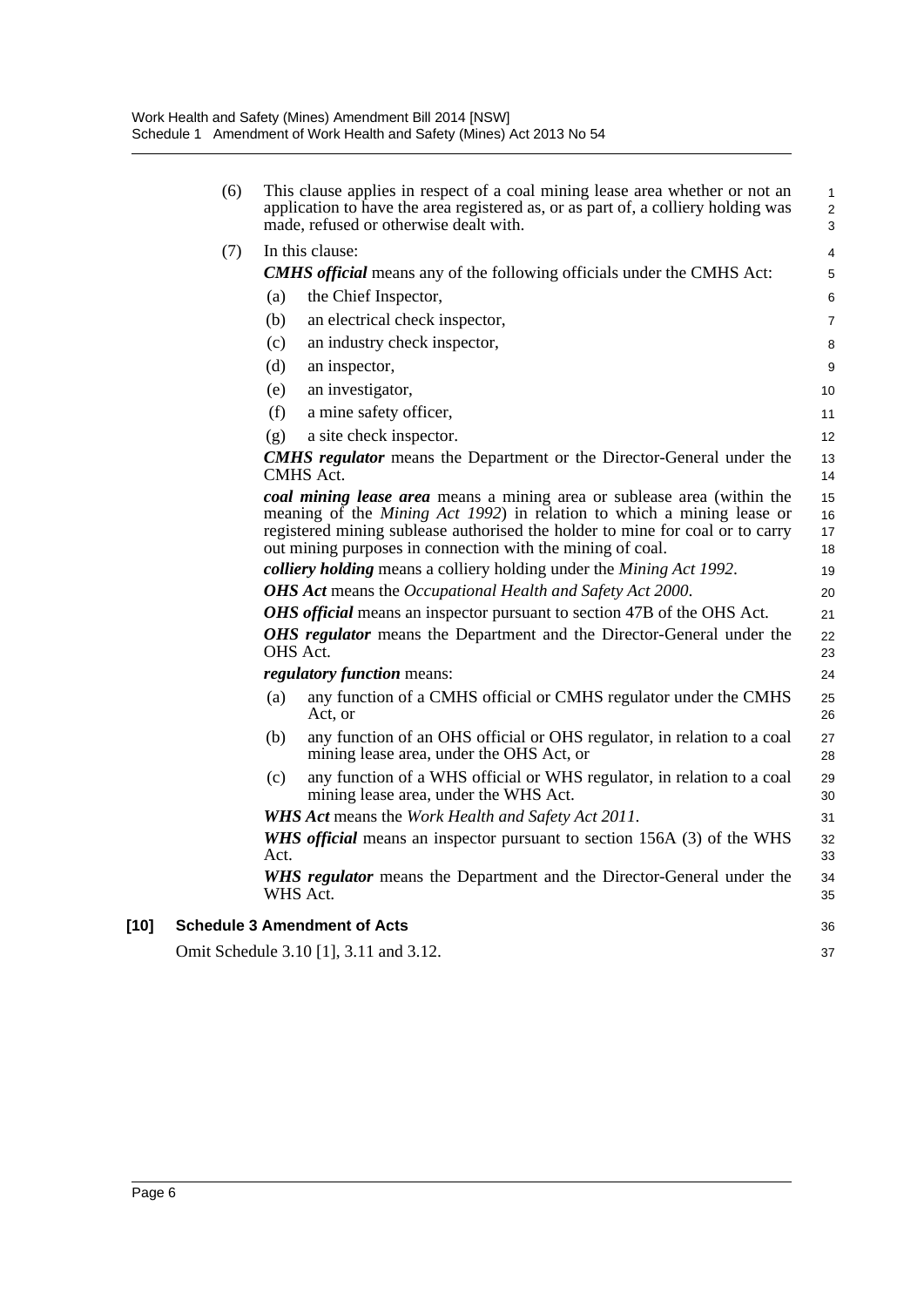|        | (6) | This clause applies in respect of a coal mining lease area whether or not an<br>application to have the area registered as, or as part of, a colliery holding was<br>made, refused or otherwise dealt with.                                                                                              | 1<br>$\overline{a}$<br>3 |
|--------|-----|----------------------------------------------------------------------------------------------------------------------------------------------------------------------------------------------------------------------------------------------------------------------------------------------------------|--------------------------|
|        | (7) | In this clause:                                                                                                                                                                                                                                                                                          | 4                        |
|        |     | <b>CMHS official</b> means any of the following officials under the CMHS Act:                                                                                                                                                                                                                            | 5                        |
|        |     | (a)<br>the Chief Inspector,                                                                                                                                                                                                                                                                              | 6                        |
|        |     | an electrical check inspector,<br>(b)                                                                                                                                                                                                                                                                    | 7                        |
|        |     | an industry check inspector,<br>(c)                                                                                                                                                                                                                                                                      | 8                        |
|        |     | (d)<br>an inspector,                                                                                                                                                                                                                                                                                     | 9                        |
|        |     | an investigator,<br>(e)                                                                                                                                                                                                                                                                                  | 10                       |
|        |     | (f)<br>a mine safety officer,                                                                                                                                                                                                                                                                            | 11                       |
|        |     | a site check inspector.<br>(g)                                                                                                                                                                                                                                                                           | 12                       |
|        |     | <b>CMHS regulator</b> means the Department or the Director-General under the<br>CMHS Act.                                                                                                                                                                                                                | 13<br>14                 |
|        |     | coal mining lease area means a mining area or sublease area (within the<br>meaning of the <i>Mining Act 1992</i> ) in relation to which a mining lease or<br>registered mining sublease authorised the holder to mine for coal or to carry<br>out mining purposes in connection with the mining of coal. | 15<br>16<br>17<br>18     |
|        |     | colliery holding means a colliery holding under the Mining Act 1992.                                                                                                                                                                                                                                     | 19                       |
|        |     | OHS Act means the Occupational Health and Safety Act 2000.                                                                                                                                                                                                                                               | 20                       |
|        |     | <b>OHS</b> official means an inspector pursuant to section 47B of the OHS Act.                                                                                                                                                                                                                           | 21                       |
|        |     | OHS regulator means the Department and the Director-General under the<br>OHS Act.                                                                                                                                                                                                                        | 22<br>23                 |
|        |     | <i>regulatory function means:</i>                                                                                                                                                                                                                                                                        | 24                       |
|        |     | any function of a CMHS official or CMHS regulator under the CMHS<br>(a)<br>Act. or                                                                                                                                                                                                                       | 25<br>26                 |
|        |     | any function of an OHS official or OHS regulator, in relation to a coal<br>(b)<br>mining lease area, under the OHS Act, or                                                                                                                                                                               | 27<br>28                 |
|        |     | any function of a WHS official or WHS regulator, in relation to a coal<br>(c)<br>mining lease area, under the WHS Act.                                                                                                                                                                                   | 29<br>30                 |
|        |     | <b>WHS Act means the Work Health and Safety Act 2011.</b>                                                                                                                                                                                                                                                | 31                       |
|        |     | WHS official means an inspector pursuant to section 156A (3) of the WHS<br>Act.                                                                                                                                                                                                                          | 32<br>33                 |
|        |     | WHS regulator means the Department and the Director-General under the<br>WHS Act.                                                                                                                                                                                                                        | 34<br>35                 |
| $[10]$ |     | <b>Schedule 3 Amendment of Acts</b>                                                                                                                                                                                                                                                                      | 36                       |
|        |     | Omit Schedule 3.10 [1], 3.11 and 3.12.                                                                                                                                                                                                                                                                   | 37                       |
|        |     |                                                                                                                                                                                                                                                                                                          |                          |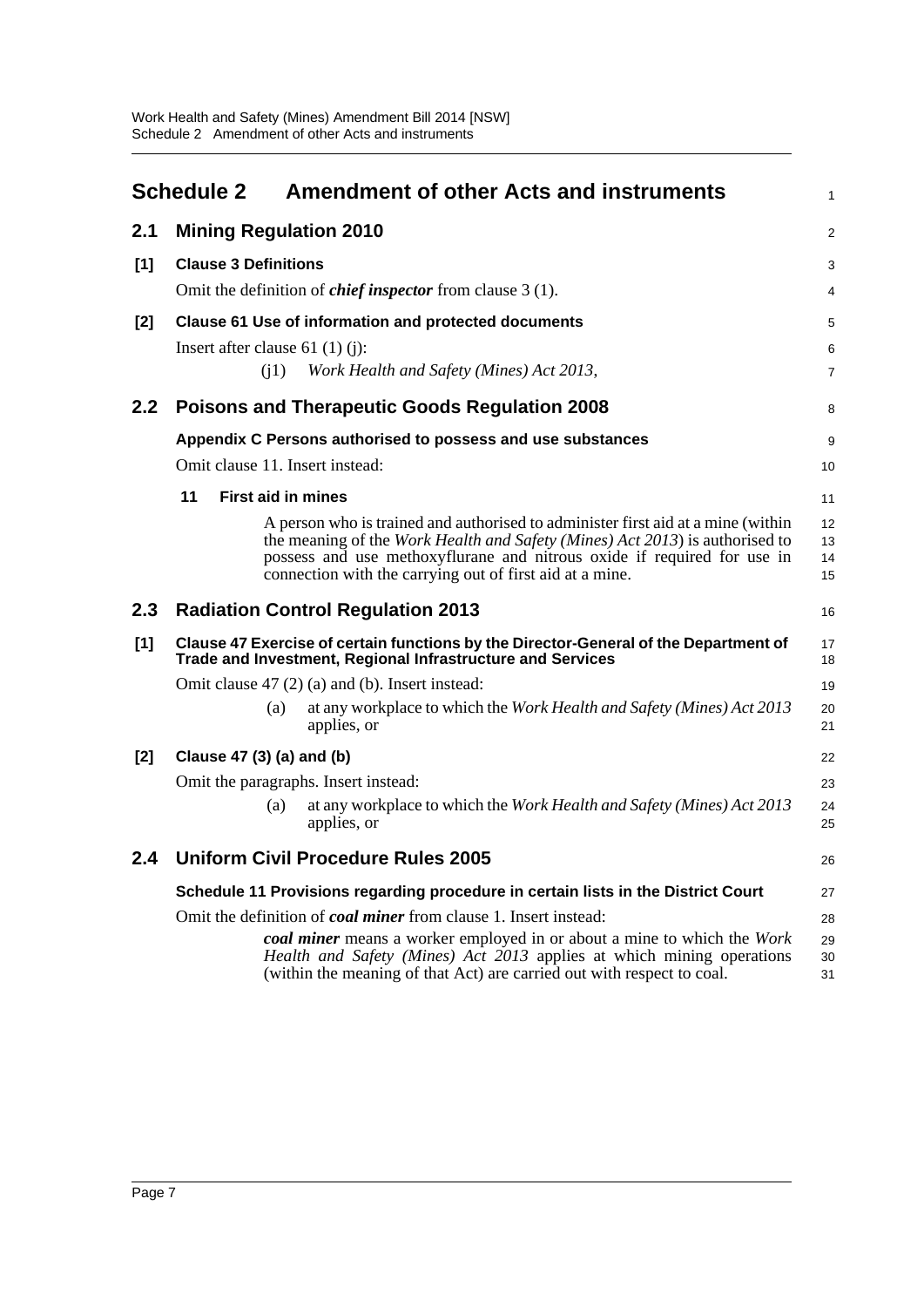<span id="page-10-0"></span>

|       | <b>Schedule 2</b>                                                                                                                                  | <b>Amendment of other Acts and instruments</b>                                                                                                                                                                                                                                                                  | $\mathbf{1}$         |  |  |  |
|-------|----------------------------------------------------------------------------------------------------------------------------------------------------|-----------------------------------------------------------------------------------------------------------------------------------------------------------------------------------------------------------------------------------------------------------------------------------------------------------------|----------------------|--|--|--|
| 2.1   | <b>Mining Regulation 2010</b>                                                                                                                      |                                                                                                                                                                                                                                                                                                                 | 2                    |  |  |  |
| [1]   | <b>Clause 3 Definitions</b>                                                                                                                        |                                                                                                                                                                                                                                                                                                                 | 3                    |  |  |  |
|       |                                                                                                                                                    | Omit the definition of <i>chief inspector</i> from clause 3 (1).                                                                                                                                                                                                                                                |                      |  |  |  |
| [2]   | Clause 61 Use of information and protected documents                                                                                               |                                                                                                                                                                                                                                                                                                                 |                      |  |  |  |
|       | Insert after clause 61 $(1)(j)$ :                                                                                                                  |                                                                                                                                                                                                                                                                                                                 | 6                    |  |  |  |
|       | (i1)                                                                                                                                               | Work Health and Safety (Mines) Act 2013,                                                                                                                                                                                                                                                                        | $\overline{7}$       |  |  |  |
| 2.2   |                                                                                                                                                    | <b>Poisons and Therapeutic Goods Regulation 2008</b>                                                                                                                                                                                                                                                            | 8                    |  |  |  |
|       |                                                                                                                                                    | Appendix C Persons authorised to possess and use substances                                                                                                                                                                                                                                                     | 9                    |  |  |  |
|       | Omit clause 11. Insert instead:                                                                                                                    |                                                                                                                                                                                                                                                                                                                 | 10                   |  |  |  |
|       | 11                                                                                                                                                 | <b>First aid in mines</b>                                                                                                                                                                                                                                                                                       | 11                   |  |  |  |
|       |                                                                                                                                                    | A person who is trained and authorised to administer first aid at a mine (within<br>the meaning of the <i>Work Health and Safety (Mines) Act 2013</i> ) is authorised to<br>possess and use methoxyflurane and nitrous oxide if required for use in<br>connection with the carrying out of first aid at a mine. | 12<br>13<br>14<br>15 |  |  |  |
| 2.3   |                                                                                                                                                    | <b>Radiation Control Regulation 2013</b>                                                                                                                                                                                                                                                                        | 16                   |  |  |  |
| $[1]$ | Clause 47 Exercise of certain functions by the Director-General of the Department of<br>Trade and Investment, Regional Infrastructure and Services |                                                                                                                                                                                                                                                                                                                 |                      |  |  |  |
|       |                                                                                                                                                    | Omit clause $47(2)$ (a) and (b). Insert instead:                                                                                                                                                                                                                                                                | 19                   |  |  |  |
|       | (a)                                                                                                                                                | at any workplace to which the Work Health and Safety (Mines) Act 2013<br>applies, or                                                                                                                                                                                                                            | 20<br>21             |  |  |  |
| $[2]$ | Clause 47 (3) (a) and (b)                                                                                                                          |                                                                                                                                                                                                                                                                                                                 |                      |  |  |  |
|       | Omit the paragraphs. Insert instead:                                                                                                               |                                                                                                                                                                                                                                                                                                                 |                      |  |  |  |
|       | (a)                                                                                                                                                | at any workplace to which the Work Health and Safety (Mines) Act 2013<br>applies, or                                                                                                                                                                                                                            | 24<br>25             |  |  |  |
| 2.4   |                                                                                                                                                    | <b>Uniform Civil Procedure Rules 2005</b>                                                                                                                                                                                                                                                                       | 26                   |  |  |  |
|       |                                                                                                                                                    | Schedule 11 Provisions regarding procedure in certain lists in the District Court                                                                                                                                                                                                                               | 27                   |  |  |  |
|       | Omit the definition of coal miner from clause 1. Insert instead:                                                                                   |                                                                                                                                                                                                                                                                                                                 |                      |  |  |  |
|       |                                                                                                                                                    | coal miner means a worker employed in or about a mine to which the Work<br>Health and Safety (Mines) Act 2013 applies at which mining operations<br>(within the meaning of that Act) are carried out with respect to coal.                                                                                      | 29<br>30<br>31       |  |  |  |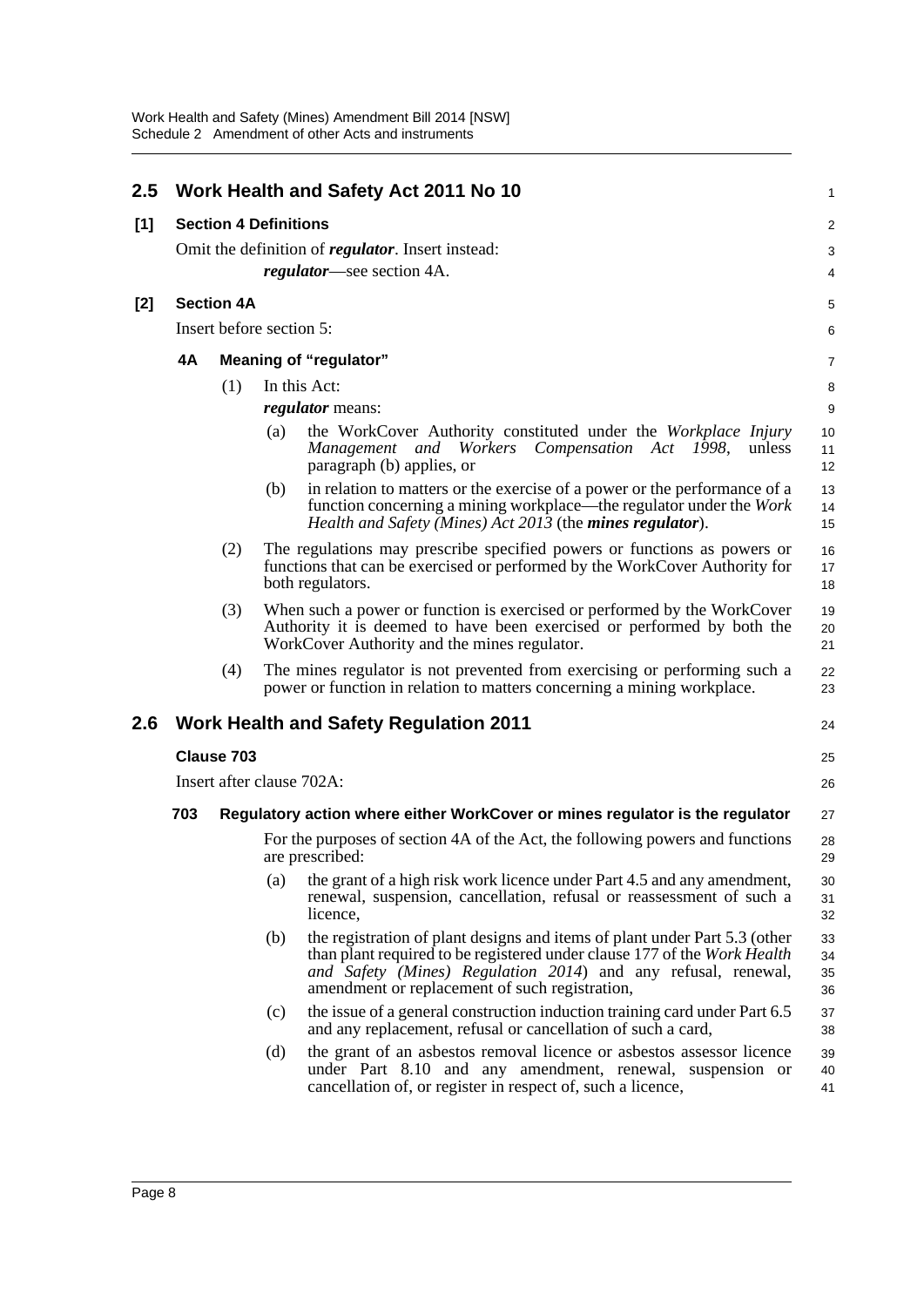| 2.5   |                              | Work Health and Safety Act 2011 No 10<br>$\mathbf{1}$     |                                                                                                  |                                                                                                                                                                                                                                                                           |                      |  |
|-------|------------------------------|-----------------------------------------------------------|--------------------------------------------------------------------------------------------------|---------------------------------------------------------------------------------------------------------------------------------------------------------------------------------------------------------------------------------------------------------------------------|----------------------|--|
| [1]   | <b>Section 4 Definitions</b> |                                                           |                                                                                                  |                                                                                                                                                                                                                                                                           |                      |  |
|       |                              | Omit the definition of <i>regulator</i> . Insert instead: |                                                                                                  |                                                                                                                                                                                                                                                                           |                      |  |
|       |                              |                                                           |                                                                                                  | <i>regulator</i> —see section 4A.                                                                                                                                                                                                                                         | 4                    |  |
| $[2]$ | <b>Section 4A</b>            |                                                           |                                                                                                  |                                                                                                                                                                                                                                                                           | 5                    |  |
|       | Insert before section 5:     |                                                           |                                                                                                  |                                                                                                                                                                                                                                                                           |                      |  |
|       | 4A                           |                                                           |                                                                                                  | <b>Meaning of "regulator"</b>                                                                                                                                                                                                                                             | 7                    |  |
|       |                              | (1)                                                       |                                                                                                  | In this Act:                                                                                                                                                                                                                                                              | 8                    |  |
|       |                              |                                                           |                                                                                                  | <i>regulator</i> means:                                                                                                                                                                                                                                                   | 9                    |  |
|       |                              |                                                           | (a)                                                                                              | the WorkCover Authority constituted under the Workplace Injury<br>Compensation Act<br>Management and Workers<br>unless<br>1998,<br>paragraph (b) applies, or                                                                                                              | 10<br>11<br>12       |  |
|       |                              |                                                           | (b)                                                                                              | in relation to matters or the exercise of a power or the performance of a<br>function concerning a mining workplace—the regulator under the Work<br>Health and Safety (Mines) Act 2013 (the mines regulator).                                                             | 13<br>14<br>15       |  |
|       |                              | (2)                                                       |                                                                                                  | The regulations may prescribe specified powers or functions as powers or<br>functions that can be exercised or performed by the WorkCover Authority for<br>both regulators.                                                                                               | 16<br>17<br>18       |  |
|       |                              | (3)                                                       |                                                                                                  | When such a power or function is exercised or performed by the WorkCover<br>Authority it is deemed to have been exercised or performed by both the<br>WorkCover Authority and the mines regulator.                                                                        | 19<br>20<br>21       |  |
|       |                              | (4)                                                       |                                                                                                  | The mines regulator is not prevented from exercising or performing such a<br>power or function in relation to matters concerning a mining workplace.                                                                                                                      | 22<br>23             |  |
| 2.6   |                              |                                                           |                                                                                                  | <b>Work Health and Safety Regulation 2011</b>                                                                                                                                                                                                                             | 24                   |  |
|       |                              | Clause 703                                                |                                                                                                  |                                                                                                                                                                                                                                                                           | 25                   |  |
|       |                              |                                                           |                                                                                                  | Insert after clause 702A:                                                                                                                                                                                                                                                 | 26                   |  |
|       | 703                          |                                                           |                                                                                                  | Regulatory action where either WorkCover or mines regulator is the regulator                                                                                                                                                                                              | 27                   |  |
|       |                              |                                                           | For the purposes of section 4A of the Act, the following powers and functions<br>are prescribed: |                                                                                                                                                                                                                                                                           |                      |  |
|       |                              |                                                           | (a)                                                                                              | the grant of a high risk work licence under Part 4.5 and any amendment,<br>renewal, suspension, cancellation, refusal or reassessment of such a<br>licence,                                                                                                               | 30<br>31<br>32       |  |
|       |                              |                                                           | (b)                                                                                              | the registration of plant designs and items of plant under Part 5.3 (other<br>than plant required to be registered under clause 177 of the Work Health<br>and Safety (Mines) Regulation 2014) and any refusal, renewal,<br>amendment or replacement of such registration, | 33<br>34<br>35<br>36 |  |
|       |                              |                                                           | (c)                                                                                              | the issue of a general construction induction training card under Part 6.5<br>and any replacement, refusal or cancellation of such a card,                                                                                                                                | 37<br>38             |  |
|       |                              |                                                           | (d)                                                                                              | the grant of an asbestos removal licence or asbestos assessor licence<br>under Part 8.10 and any amendment, renewal, suspension or<br>cancellation of, or register in respect of, such a licence,                                                                         | 39<br>40<br>41       |  |